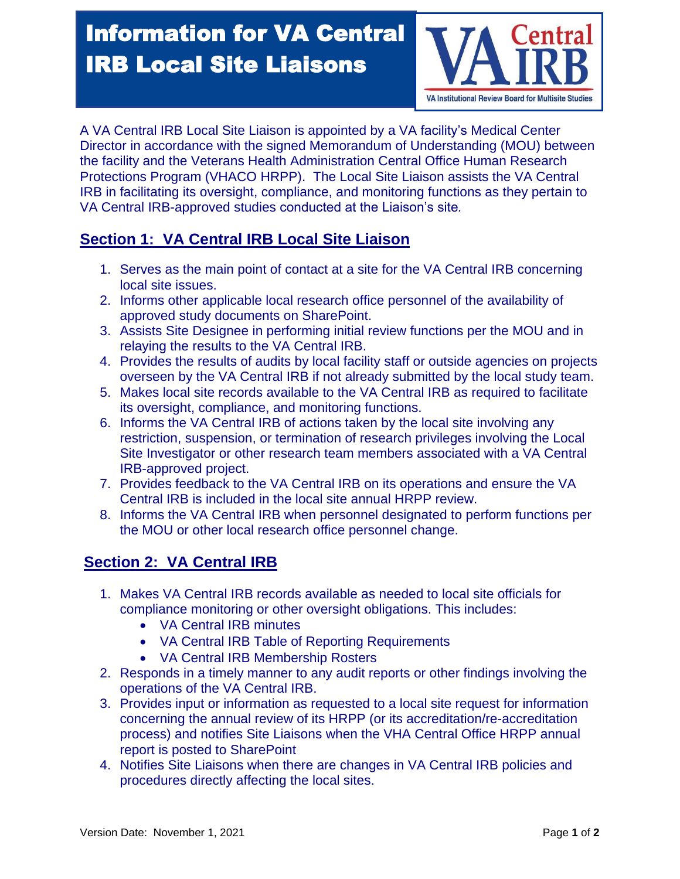## Information for VA Central entra IRB Local Site Liaisons

VA Institutional Review Board for Multisite Studies

A VA Central IRB Local Site Liaison is appointed by a VA facility's Medical Center Director in accordance with the signed Memorandum of Understanding (MOU) between the facility and the Veterans Health Administration Central Office Human Research Protections Program (VHACO HRPP). The Local Site Liaison assists the VA Central IRB in facilitating its oversight, compliance, and monitoring functions as they pertain to VA Central IRB-approved studies conducted at the Liaison's site*.*

## **Section 1: VA Central IRB Local Site Liaison**

- 1. Serves as the main point of contact at a site for the VA Central IRB concerning local site issues.
- 2. Informs other applicable local research office personnel of the availability of approved study documents on SharePoint.
- 3. Assists Site Designee in performing initial review functions per the MOU and in relaying the results to the VA Central IRB.
- 4. Provides the results of audits by local facility staff or outside agencies on projects overseen by the VA Central IRB if not already submitted by the local study team.
- 5. Makes local site records available to the VA Central IRB as required to facilitate its oversight, compliance, and monitoring functions.
- 6. Informs the VA Central IRB of actions taken by the local site involving any restriction, suspension, or termination of research privileges involving the Local Site Investigator or other research team members associated with a VA Central IRB-approved project.
- 7. Provides feedback to the VA Central IRB on its operations and ensure the VA Central IRB is included in the local site annual HRPP review.
- 8. Informs the VA Central IRB when personnel designated to perform functions per the MOU or other local research office personnel change.

## **Section 2: VA Central IRB**

- 1. Makes VA Central IRB records available as needed to local site officials for compliance monitoring or other oversight obligations. This includes:
	- VA Central IRB minutes
	- VA Central IRB Table of Reporting Requirements
	- VA Central IRB Membership Rosters
- 2. Responds in a timely manner to any audit reports or other findings involving the operations of the VA Central IRB.
- 3. Provides input or information as requested to a local site request for information concerning the annual review of its HRPP (or its accreditation/re-accreditation process) and notifies Site Liaisons when the VHA Central Office HRPP annual report is posted to SharePoint
- 4. Notifies Site Liaisons when there are changes in VA Central IRB policies and procedures directly affecting the local sites.